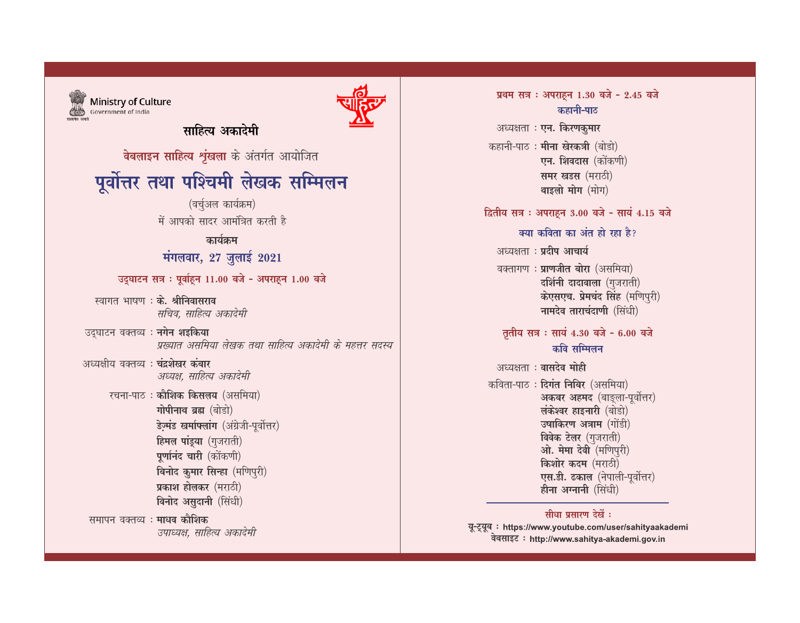प्रथम सत्र : अपराहन 1.30 बजे - 2.45 बजे कहानी-पाठ अध्यक्षता : एन. किरणकुमार कहानी-पाठ : **मीना खेरकत्री** (बोडो) एन. शिवदास (कोंकणी) समर खडस (मराठी) थाइलो मोग (मोग) दितीय सत्र : अपराहून 3.00 बजे - सायं 4.15 बजे क्या कविता का अंत हो रहा है? अध्यक्षता : प्रदीप आचार्य वक्तागण: प्राणजीत बोरा (असमिया) दर्शिनी दादावाला (गुजराती) केएसएच. प्रेमचंद सिंह (मणिपुरी) नामदेव ताराचंदाणी (सिंधी) तृतीय सत्र : सायं 4.30 बजे - 6.00 बजे कवि सम्मिलन अध्यक्षता : वासदेव मोही कविता-पाठ: दिगंत निबिर (असमिया) अकबर अहमद (बाङ्ला-पूर्वोत्तर) लंकेश्वर हाइनारी (बोडो) उषाकिरण अत्राम (गोंडी) विवेक टेलर (गुजराती) ओ. मेमा देवी (मणिपुरी) किशोर कदम (मराठी) एस.डी. ढकाल (नेपाली-पूर्वोत्तर)

#### सीधा प्रसारण देखें :

हीना अग्नानी (सिंधी)

यू-ट्यूब : https://www.youtube.com/user/sahityaakademi वेबसाइट: http://www.sahitya-akademi.gov.in



Ministry of Culture Government of India

साहित्य अकादेमी

वेबलाइन साहित्य शृंखला के अंतर्गत आयोजित

# पूर्वोत्तर तथा पश्चिमी लेखक सम्मिलन

(वर्चुअल कार्यक्रम) में आपको सादर आमंत्रित करती है

## कार्यक्रम

## मंगलवार, 27 जुलाई 2021

उद्घाटन सत्र : पूर्वाहन 11.00 बजे - अपराहन 1.00 बजे

- स्वागत भाषण : के. श्रीनिवासराव सचिव, साहित्य अकादेमी
- उदघाटन वक्तव्य : **नगेन शइकिया** प्रख्यात असमिया लेखक तथा साहित्य अकादेमी के महत्तर सदस्य
- अध्यक्षीय वक्तव्य: चंदशेखर कंबार अध्यक्ष, साहित्य अकादेमी
	- रचना-पाठ: कौशिक किसलय (असमिया) गोपीनाथ ब्रह्म (बोडो) डेज़्मंड खर्माफ्लांग (अंग्रेजी-पूर्वोत्तर) हिमल पांडुया (गुजराती) पूर्णानंद चारी (कोंकणी) बिनोद कुमार सिन्हा (मणिपुरी) प्रकाश होलकर (मराठी) विनोद असुदानी (सिंधी)
- समापन वक्तव्य : माधव कौशिक उपाध्यक्ष, साहित्य अकादेमी